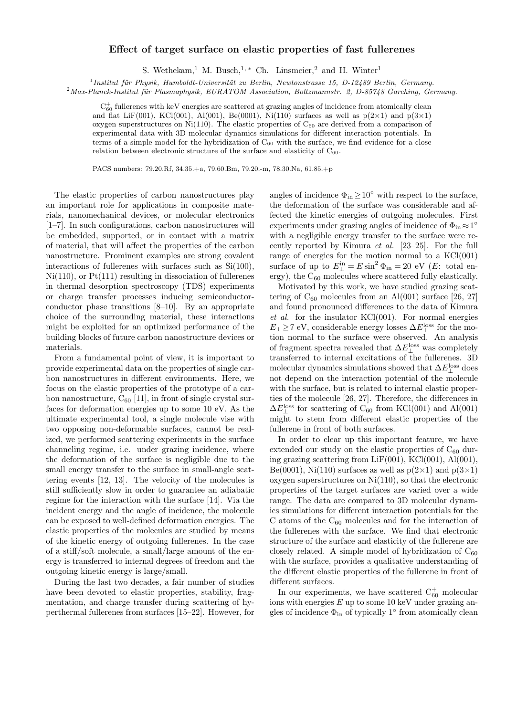## Effect of target surface on elastic properties of fast fullerenes

S. Wethekam,<sup>1</sup> M. Busch,<sup>1,\*</sup> Ch. Linsmeier,<sup>2</sup> and H. Winter<sup>1</sup>

 $1$ Institut für Physik, Humboldt-Universität zu Berlin, Newtonstrasse 15, D-12489 Berlin, Germany.

 $2$ Max-Planck-Institut für Plasmaphysik, EURATOM Association, Boltzmannstr. 2, D-85748 Garching, Germany.

 $C_{60}^+$  fullerenes with keV energies are scattered at grazing angles of incidence from atomically clean and flat LiF(001), KCl(001), Al(001), Be(0001), Ni(110) surfaces as well as  $p(2\times1)$  and  $p(3\times1)$ oxygen superstructures on Ni(110). The elastic properties of  $C_{60}$  are derived from a comparison of experimental data with 3D molecular dynamics simulations for different interaction potentials. In terms of a simple model for the hybridization of  $C_{60}$  with the surface, we find evidence for a close relation between electronic structure of the surface and elasticity of  $C_{60}$ .

PACS numbers: 79.20.Rf, 34.35.+a, 79.60.Bm, 79.20.-m, 78.30.Na, 61.85.+p

The elastic properties of carbon nanostructures play an important role for applications in composite materials, nanomechanical devices, or molecular electronics [1–7]. In such configurations, carbon nanostructures will be embedded, supported, or in contact with a matrix of material, that will affect the properties of the carbon nanostructure. Prominent examples are strong covalent interactions of fullerenes with surfaces such as Si(100),  $Ni(110)$ , or  $Pt(111)$  resulting in dissociation of fullerenes in thermal desorption spectroscopy (TDS) experiments or charge transfer processes inducing semiconductorconductor phase transitions [8–10]. By an appropriate choice of the surrounding material, these interactions might be exploited for an optimized performance of the building blocks of future carbon nanostructure devices or materials.

From a fundamental point of view, it is important to provide experimental data on the properties of single carbon nanostructures in different environments. Here, we focus on the elastic properties of the prototype of a carbon nanostructure,  $C_{60}$  [11], in front of single crystal surfaces for deformation energies up to some 10 eV. As the ultimate experimental tool, a single molecule vise with two opposing non-deformable surfaces, cannot be realized, we performed scattering experiments in the surface channeling regime, i.e. under grazing incidence, where the deformation of the surface is negligible due to the small energy transfer to the surface in small-angle scattering events [12, 13]. The velocity of the molecules is still sufficiently slow in order to guarantee an adiabatic regime for the interaction with the surface [14]. Via the incident energy and the angle of incidence, the molecule can be exposed to well-defined deformation energies. The elastic properties of the molecules are studied by means of the kinetic energy of outgoing fullerenes. In the case of a stiff/soft molecule, a small/large amount of the energy is transferred to internal degrees of freedom and the outgoing kinetic energy is large/small.

During the last two decades, a fair number of studies have been devoted to elastic properties, stability, fragmentation, and charge transfer during scattering of hyperthermal fullerenes from surfaces [15–22]. However, for

angles of incidence  $\Phi_{\text{in}} \geq 10^{\circ}$  with respect to the surface, the deformation of the surface was considerable and affected the kinetic energies of outgoing molecules. First experiments under grazing angles of incidence of  $\Phi_{\rm in} \approx 1^{\circ}$ with a negligible energy transfer to the surface were recently reported by Kimura et al. [23–25]. For the full range of energies for the motion normal to a  $KCl(001)$ surface of up to  $E_{\perp}^{\text{in}} = E \sin^2 \Phi_{\text{in}} = 20 \text{ eV}$  (*E*: total energy), the  $C_{60}$  molecules where scattered fully elastically.

Motivated by this work, we have studied grazing scattering of  $C_{60}$  molecules from an Al(001) surface [26, 27] and found pronounced differences to the data of Kimura  $et \ al.$  for the insulator KCl(001). For normal energies  $E_{\perp} \!\geq\! 7$  eV, considerable energy losses  $\Delta E_{\perp}^{\rm loss}$  for the motion normal to the surface were observed. An analysis of fragment spectra revealed that  $\Delta E^{\mathrm{loss}}_{\perp}$  was completely transferred to internal excitations of the fullerenes. 3D molecular dynamics simulations showed that  $\Delta E^{\mathrm{loss}}_{\perp}$  does not depend on the interaction potential of the molecule with the surface, but is related to internal elastic properties of the molecule [26, 27]. Therefore, the differences in  $\Delta E_{\perp}^{\rm loss}$  for scattering of C<sub>60</sub> from KCl(001) and Al(001) might to stem from different elastic properties of the fullerene in front of both surfaces.

In order to clear up this important feature, we have extended our study on the elastic properties of  $C_{60}$  during grazing scattering from LiF(001), KCl(001), Al(001), Be(0001), Ni(110) surfaces as well as  $p(2\times1)$  and  $p(3\times1)$ oxygen superstructures on Ni(110), so that the electronic properties of the target surfaces are varied over a wide range. The data are compared to 3D molecular dynamics simulations for different interaction potentials for the C atoms of the  $C_{60}$  molecules and for the interaction of the fullerenes with the surface. We find that electronic structure of the surface and elasticity of the fullerene are closely related. A simple model of hybridization of  $C_{60}$ with the surface, provides a qualitative understanding of the different elastic properties of the fullerene in front of different surfaces.

In our experiments, we have scattered  $C_{60}^+$  molecular ions with energies  $E$  up to some 10 keV under grazing angles of incidence  $\Phi_{\text{in}}$  of typically  $1^{\circ}$  from atomically clean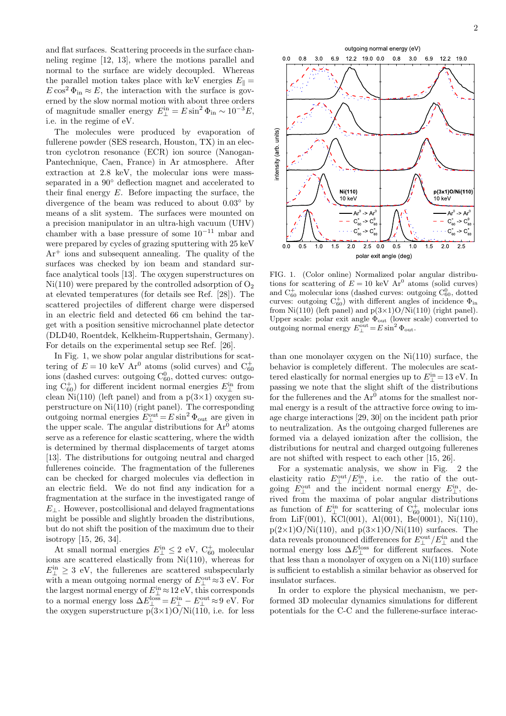and flat surfaces. Scattering proceeds in the surface channeling regime [12, 13], where the motions parallel and normal to the surface are widely decoupled. Whereas the parallel motion takes place with keV energies  $E_{\parallel} =$  $E \cos^2 \Phi_{\text{in}} \approx E$ , the interaction with the surface is governed by the slow normal motion with about three orders of magnitude smaller energy  $E_{\perp}^{\text{in}} = E \sin^2 \Phi_{\text{in}} \sim 10^{-3} E$ , i.e. in the regime of eV.

The molecules were produced by evaporation of fullerene powder (SES research, Houston, TX) in an electron cyclotron resonance (ECR) ion source (Nanogan-Pantechnique, Caen, France) in Ar atmosphere. After extraction at 2.8 keV, the molecular ions were massseparated in a  $90°$  deflection magnet and accelerated to their final energy E. Before impacting the surface, the divergence of the beam was reduced to about 0.03◦ by means of a slit system. The surfaces were mounted on a precision manipulator in an ultra-high vacuum (UHV) chamber with a base pressure of some 10<sup>−</sup><sup>11</sup> mbar and were prepared by cycles of grazing sputtering with 25 keV Ar<sup>+</sup> ions and subsequent annealing. The quality of the surfaces was checked by ion beam and standard surface analytical tools [13]. The oxygen superstructures on  $Ni(110)$  were prepared by the controlled adsorption of  $O<sub>2</sub>$ at elevated temperatures (for details see Ref. [28]). The scattered projectiles of different charge were dispersed in an electric field and detected 66 cm behind the target with a position sensitive microchannel plate detector (DLD40, Roentdek, Kelkheim-Ruppertshain, Germany). For details on the experimental setup see Ref. [26].

In Fig. 1, we show polar angular distributions for scattering of  $E = 10 \text{ keV } Ar^0$  atoms (solid curves) and  $C_{60}^+$ ions (dashed curves: outgoing  $C_{60}^0$ , dotted curves: outgoing  $\dot{C}_{60}^{+}$ ) for different incident normal energies  $E_{\perp}^{in}$  from clean Ni(110) (left panel) and from a  $p(3\times1)$  oxygen superstructure on Ni(110) (right panel). The corresponding outgoing normal energies  $E_{\perp}^{\text{out}} = E \sin^2 \Phi_{\text{out}}$  are given in the upper scale. The angular distributions for  $Ar^0$  atoms serve as a reference for elastic scattering, where the width is determined by thermal displacements of target atoms [13]. The distributions for outgoing neutral and charged fullerenes coincide. The fragmentation of the fullerenes can be checked for charged molecules via deflection in an electric field. We do not find any indication for a fragmentation at the surface in the investigated range of  $E_{\perp}$ . However, postcollisional and delayed fragmentations might be possible and slightly broaden the distributions, but do not shift the position of the maximum due to their isotropy [15, 26, 34].

At small normal energies  $E_{\perp}^{\text{in}} \leq 2$  eV,  $C_{60}^{+}$  molecular ions are scattered elastically from Ni(110), whereas for  $E_{\perp}^{\text{in}} \geq 3$  eV, the fullerenes are scattered subspecularly with a mean outgoing normal energy of  $E_{\perp}^{\text{out}} \approx 3 \text{ eV}$ . For the largest normal energy of  $E_{\perp}^{in} \approx 12 \text{ eV}$ , this corresponds to a normal energy loss  $\Delta E_{\perp}^{\text{loss}} = E_{\perp}^{\text{in}} - E_{\perp}^{\text{out}} \approx 9 \text{ eV}$ . For the oxygen superstructure  $\overline{p(3\times1)}\overline{O/Ni(110)}$ , i.e. for less



FIG. 1. (Color online) Normalized polar angular distributions for scattering of  $E = 10 \text{ keV } Ar^0$  atoms (solid curves) and  $C_{60}^{+}$  molecular ions (dashed curves: outgoing  $C_{60}^{0}$ , dotted curves: outgoing  $C_{60}^{+}$  with different angles of incidence  $\Phi_{\text{in}}$ from Ni(110) (left panel) and  $p(3\times1)O/Ni(110)$  (right panel). Upper scale: polar exit angle  $\Phi_{\text{out}}$  (lower scale) converted to outgoing normal energy  $E_{\perp}^{\text{out}} = E \sin^2 \Phi_{\text{out}}$ .

than one monolayer oxygen on the Ni(110) surface, the behavior is completely different. The molecules are scattered elastically for normal energies up to  $E_{\perp}^{\text{in}} = 13 \text{ eV}$ . In passing we note that the slight shift of the distributions for the fullerenes and the  $Ar^0$  atoms for the smallest normal energy is a result of the attractive force owing to image charge interactions [29, 30] on the incident path prior to neutralization. As the outgoing charged fullerenes are formed via a delayed ionization after the collision, the distributions for neutral and charged outgoing fullerenes are not shifted with respect to each other [15, 26].

For a systematic analysis, we show in Fig. 2 the elasticity ratio  $E_{\perp}^{\text{out}}/E_{\perp}^{\text{in}}$ , i.e. the ratio of the outgoing  $E_{\perp}^{\text{out}}$  and the incident normal energy  $E_{\perp}^{\text{in}}$ , derived from the maxima of polar angular distributions as function of  $E_{\perp}^{\text{in}}$  for scattering of  $C_{60}^{+}$  molecular ions from LiF $(001)$ , KCl $(001)$ , Al $(001)$ , Be $(0001)$ , Ni $(110)$ ,  $p(2\times1)O/Ni(110)$ , and  $p(3\times1)O/Ni(110)$  surfaces. The data reveals pronounced differences for  $E_{\perp}^{\text{out}}/E_{\perp}^{\text{in}}$  and the normal energy loss  $\Delta E_{\perp}^{\text{loss}}$  for different surfaces. Note that less than a monolayer of oxygen on a  $Ni(110)$  surface is sufficient to establish a similar behavior as observed for insulator surfaces.

In order to explore the physical mechanism, we performed 3D molecular dynamics simulations for different potentials for the C-C and the fullerene-surface interac-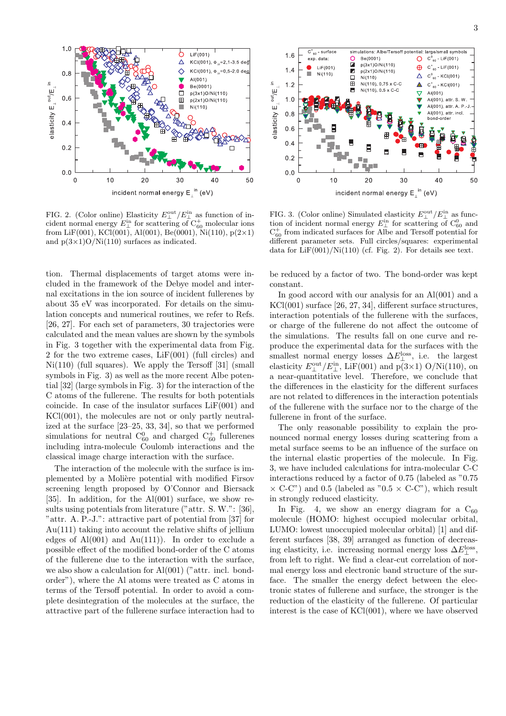

FIG. 2. (Color online) Elasticity  $E_{\perp}^{\text{out}}/E_{\perp}^{\text{in}}$  as function of incident normal energy  $E_{\perp}^{\text{in}}$  for scattering of  $C_{60}^{+}$  molecular ions from LiF(001), KCl(001), Al(001), Be(0001), Ni(110),  $p(2\times1)$ and  $p(3\times1)O/Ni(110)$  surfaces as indicated.

tion. Thermal displacements of target atoms were included in the framework of the Debye model and internal excitations in the ion source of incident fullerenes by about 35 eV was incorporated. For details on the simulation concepts and numerical routines, we refer to Refs. [26, 27]. For each set of parameters, 30 trajectories were calculated and the mean values are shown by the symbols in Fig. 3 together with the experimental data from Fig. 2 for the two extreme cases,  $LiF(001)$  (full circles) and  $Ni(110)$  (full squares). We apply the Tersoff [31] (small symbols in Fig. 3) as well as the more recent Albe potential [32] (large symbols in Fig. 3) for the interaction of the C atoms of the fullerene. The results for both potentials coincide. In case of the insulator surfaces LiF(001) and KCl(001), the molecules are not or only partly neutralized at the surface [23–25, 33, 34], so that we performed simulations for neutral  $C_{60}^0$  and charged  $C_{60}^+$  fullerenes including intra-molecule Coulomb interactions and the classical image charge interaction with the surface.

The interaction of the molecule with the surface is implemented by a Molière potential with modified Firsov screening length proposed by O'Connor and Biersack [35]. In addition, for the  $Al(001)$  surface, we show results using potentials from literature ("attr. S. W.": [36], "attr. A. P.-J.": attractive part of potential from [37] for Au(111) taking into account the relative shifts of jellium edges of  $Al(001)$  and  $Au(111)$ ). In order to exclude a possible effect of the modified bond-order of the C atoms of the fullerene due to the interaction with the surface, we also show a calculation for Al(001) ("attr. incl. bondorder"), where the Al atoms were treated as C atoms in terms of the Tersoff potential. In order to avoid a complete desintegration of the molecules at the surface, the attractive part of the fullerene surface interaction had to



FIG. 3. (Color online) Simulated elasticity  $E_{\perp}^{\text{out}}/E_{\perp}^{\text{in}}$  as function of incident normal energy  $E_{\perp}^{\text{in}}$  for scattering of  $C_{60}^0$  and  $C_{60}^+$  from indicated surfaces for Albe and Tersoff potential for different parameter sets. Full circles/squares: experimental data for  $\text{LiF}(001)/\text{Ni}(110)$  (cf. Fig. 2). For details see text.

be reduced by a factor of two. The bond-order was kept constant.

In good accord with our analysis for an Al(001) and a KCl(001) surface [26, 27, 34], different surface structures, interaction potentials of the fullerene with the surfaces, or charge of the fullerene do not affect the outcome of the simulations. The results fall on one curve and reproduce the experimental data for the surfaces with the smallest normal energy losses  $\Delta E_{\perp}^{\text{loss}}$ , i.e. the largest elasticity  $E_{\perp}^{\text{out}}/E_{\perp}^{\text{in}}$ , LiF(001) and p(3×1) O/Ni(110), on a near-quantitative level. Therefore, we conclude that the differences in the elasticity for the different surfaces are not related to differences in the interaction potentials of the fullerene with the surface nor to the charge of the fullerene in front of the surface.

The only reasonable possibility to explain the pronounced normal energy losses during scattering from a metal surface seems to be an influence of the surface on the internal elastic properties of the molecule. In Fig. 3, we have included calculations for intra-molecular C-C interactions reduced by a factor of 0.75 (labeled as "0.75  $\times$  C-C") and 0.5 (labeled as "0.5  $\times$  C-C"), which result in strongly reduced elasticity.

In Fig. 4, we show an energy diagram for a  $C_{60}$ molecule (HOMO: highest occupied molecular orbital, LUMO: lowest unoccupied molecular orbital) [1] and different surfaces [38, 39] arranged as function of decreasing elasticity, i.e. increasing normal energy loss  $\Delta E_{\perp}^{\text{loss}},$ from left to right. We find a clear-cut correlation of normal energy loss and electronic band structure of the surface. The smaller the energy defect between the electronic states of fullerene and surface, the stronger is the reduction of the elasticity of the fullerene. Of particular interest is the case of KCl(001), where we have observed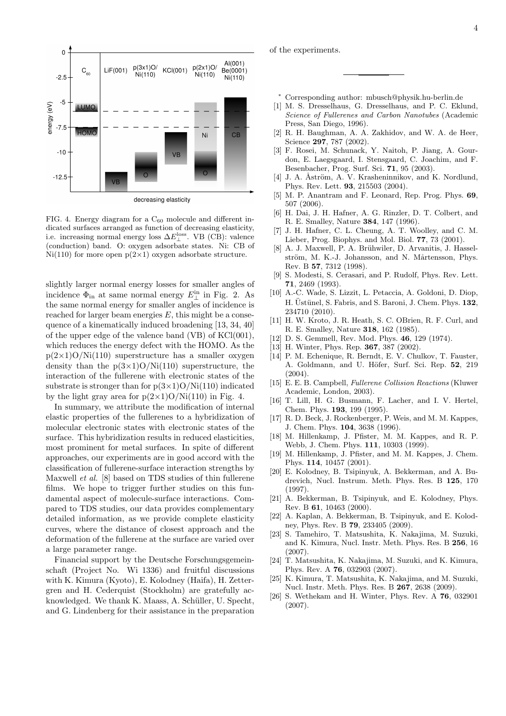

FIG. 4. Energy diagram for a  $C_{60}$  molecule and different indicated surfaces arranged as function of decreasing elasticity, i.e. increasing normal energy loss  $\Delta E_{\perp}^{\text{loss}}$ . VB (CB): valence (conduction) band. O: oxygen adsorbate states. Ni: CB of Ni(110) for more open  $p(2\times1)$  oxygen adsorbate structure.

slightly larger normal energy losses for smaller angles of incidence  $\Phi_{\text{in}}$  at same normal energy  $E_{\perp}^{\text{in}}$  in Fig. 2. As the same normal energy for smaller angles of incidence is reached for larger beam energies  $E$ , this might be a consequence of a kinematically induced broadening [13, 34, 40] of the upper edge of the valence band (VB) of KCl(001), which reduces the energy defect with the HOMO. As the  $p(2\times1)O/Ni(110)$  superstructure has a smaller oxygen density than the  $p(3\times1)O/Ni(110)$  superstructure, the interaction of the fullerene with electronic states of the substrate is stronger than for  $p(3\times1)O/Ni(110)$  indicated by the light gray area for  $p(2\times1)O/Ni(110)$  in Fig. 4.

In summary, we attribute the modification of internal elastic properties of the fullerenes to a hybridization of molecular electronic states with electronic states of the surface. This hybridization results in reduced elasticities, most prominent for metal surfaces. In spite of different approaches, our experiments are in good accord with the classification of fullerene-surface interaction strengths by Maxwell et al. [8] based on TDS studies of thin fullerene films. We hope to trigger further studies on this fundamental aspect of molecule-surface interactions. Compared to TDS studies, our data provides complementary detailed information, as we provide complete elasticity curves, where the distance of closest approach and the deformation of the fullerene at the surface are varied over a large parameter range.

Financial support by the Deutsche Forschungsgemeinschaft (Project No. Wi 1336) and fruitful discussions with K. Kimura (Kyoto), E. Kolodney (Haifa), H. Zettergren and H. Cederquist (Stockholm) are gratefully acknowledged. We thank K. Maass, A. Schüller, U. Specht, and G. Lindenberg for their assistance in the preparation

of the experiments.

- <sup>∗</sup> Corresponding author: mbusch@physik.hu-berlin.de
- [1] M. S. Dresselhaus, G. Dresselhaus, and P. C. Eklund, Science of Fullerenes and Carbon Nanotubes (Academic Press, San Diego, 1996).
- [2] R. H. Baughman, A. A. Zakhidov, and W. A. de Heer, Science 297, 787 (2002).
- [3] F. Rosei, M. Schunack, Y. Naitoh, P. Jiang, A. Gourdon, E. Laegsgaard, I. Stensgaard, C. Joachim, and F. Besenbacher, Prog. Surf. Sci. 71, 95 (2003).
- [4] J. A. Åström, A. V. Krasheninnikov, and K. Nordlund, Phys. Rev. Lett. 93, 215503 (2004).
- [5] M. P. Anantram and F. Leonard, Rep. Prog. Phys. 69, 507 (2006).
- [6] H. Dai, J. H. Hafner, A. G. Rinzler, D. T. Colbert, and R. E. Smalley, Nature 384, 147 (1996).
- [7] J. H. Hafner, C. L. Cheung, A. T. Woolley, and C. M. Lieber, Prog. Biophys. and Mol. Biol. 77, 73 (2001).
- [8] A. J. Maxwell, P. A. Brühwiler, D. Arvanitis, J. Hasselström, M. K.-J. Johansson, and N. Mårtensson, Phys. Rev. B 57, 7312 (1998).
- [9] S. Modesti, S. Cerasari, and P. Rudolf, Phys. Rev. Lett. 71, 2469 (1993).
- [10] A.-C. Wade, S. Lizzit, L. Petaccia, A. Goldoni, D. Diop, H. Üstünel, S. Fabris, and S. Baroni, J. Chem. Phys. 132, 234710 (2010).
- [11] H. W. Kroto, J. R. Heath, S. C. OBrien, R. F. Curl, and R. E. Smalley, Nature 318, 162 (1985).
- [12] D. S. Gemmell, Rev. Mod. Phys. 46, 129 (1974).
- [13] H. Winter, Phys. Rep. 367, 387 (2002).
- [14] P. M. Echenique, R. Berndt, E. V. Chulkov, T. Fauster, A. Goldmann, and U. Höfer, Surf. Sci. Rep. 52, 219 (2004).
- [15] E. E. B. Campbell, Fullerene Collision Reactions (Kluwer Academic, London, 2003).
- [16] T. Lill, H. G. Busmann, F. Lacher, and I. V. Hertel, Chem. Phys. 193, 199 (1995).
- [17] R. D. Beck, J. Rockenberger, P. Weis, and M. M. Kappes, J. Chem. Phys. 104, 3638 (1996).
- [18] M. Hillenkamp, J. Pfister, M. M. Kappes, and R. P. Webb, J. Chem. Phys. 111, 10303 (1999).
- [19] M. Hillenkamp, J. Pfister, and M. M. Kappes, J. Chem. Phys. 114, 10457 (2001).
- [20] E. Kolodney, B. Tsipinyuk, A. Bekkerman, and A. Budrevich, Nucl. Instrum. Meth. Phys. Res. B 125, 170 (1997).
- [21] A. Bekkerman, B. Tsipinyuk, and E. Kolodney, Phys. Rev. B 61, 10463 (2000).
- [22] A. Kaplan, A. Bekkerman, B. Tsipinyuk, and E. Kolodney, Phys. Rev. B 79, 233405 (2009).
- [23] S. Tamehiro, T. Matsushita, K. Nakajima, M. Suzuki, and K. Kimura, Nucl. Instr. Meth. Phys. Res. B 256, 16  $(2007)$ .
- [24] T. Matsushita, K. Nakajima, M. Suzuki, and K. Kimura, Phys. Rev. A 76, 032903 (2007).
- [25] K. Kimura, T. Matsushita, K. Nakajima, and M. Suzuki, Nucl. Instr. Meth. Phys. Res. B 267, 2638 (2009).
- [26] S. Wethekam and H. Winter, Phys. Rev. A 76, 032901 (2007).